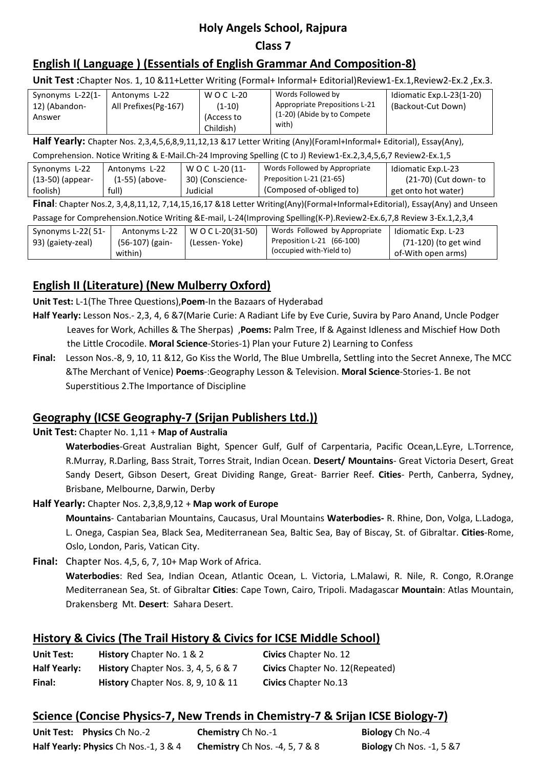# **Holy Angels School, Rajpura**

#### **Class 7**

## **English I( Language ) (Essentials of English Grammar And Composition-8)**

**Unit Test :**Chapter Nos. 1, 10 &11+Letter Writing (Formal+ Informal+ Editorial)Review1-Ex.1,Review2-Ex.2 ,Ex.3.

| Synonyms L-22(1-<br>12) (Abandon-<br>Answer | Antonyms L-22<br>All Prefixes(Pg-167) | W O C L-20<br>(1-10)<br>(Access to<br>Childish) | Words Followed by<br>Appropriate Prepositions L-21<br>(1-20) (Abide by to Compete)<br>with) | Idiomatic Exp.L-23(1-20)<br>(Backout-Cut Down) |
|---------------------------------------------|---------------------------------------|-------------------------------------------------|---------------------------------------------------------------------------------------------|------------------------------------------------|
|---------------------------------------------|---------------------------------------|-------------------------------------------------|---------------------------------------------------------------------------------------------|------------------------------------------------|

**Half Yearly:** Chapter Nos. 2,3,4,5,6,8,9,11,12,13 &17 Letter Writing (Any)(Foraml+Informal+ Editorial), Essay(Any),

| Comprehension. Notice Writing & E-Mail.Ch-24 Improving Spelling (C to J) Review1-Ex.2,3,4,5,6,7 Review2-Ex.1,5 |                  |                  |                               |                      |
|----------------------------------------------------------------------------------------------------------------|------------------|------------------|-------------------------------|----------------------|
| Synonyms L-22                                                                                                  | Antonyms L-22    | WOC L-20 (11-    | Words Followed by Appropriate | Idiomatic Exp.L-23   |
| (13-50) (appear-                                                                                               | $(1-55)$ (above- | 30) (Conscience- | Preposition L-21 (21-65)      | (21-70) (Cut down-to |
| foolish)                                                                                                       | full)            | Judicial         | (Composed of-obliged to)      | get onto hot water)  |
| ---                                                                                                            |                  |                  |                               |                      |

**Final**: Chapter Nos.2, 3,4,8,11,12, 7,14,15,16,17 &18 Letter Writing(Any)(Formal+Informal+Editorial), Essay(Any) and Unseen Passage for Comprehension.Notice Writing &E-mail, L-24(Improving Spelling(K-P).Review2-Ex.6,7,8 Review 3-Ex.1,2,3,4

| i assage for complemention.notice writing QL-mail, L-Z4(improving spering (K-F).neview2-LA.0,7,0 Review S-LA.1,2,3,4 |                                             |                                     |                                                                                        |                                                                    |
|----------------------------------------------------------------------------------------------------------------------|---------------------------------------------|-------------------------------------|----------------------------------------------------------------------------------------|--------------------------------------------------------------------|
| Synonyms L-22(51-<br>93) (gaiety-zeal)                                                                               | Antonyms L-22<br>(56-107) (gain-<br>within) | W O C L-20(31-50)<br>(Lessen- Yoke) | Words Followed by Appropriate<br>Preposition L-21 (66-100)<br>(occupied with-Yield to) | Idiomatic Exp. L-23<br>(71-120) (to get wind<br>of-With open arms) |

## **English II (Literature) (New Mulberry Oxford)**

**Unit Test:** L-1(The Three Questions),**Poem**-In the Bazaars of Hyderabad

- **Half Yearly:** Lesson Nos.- 2,3, 4, 6 &7(Marie Curie: A Radiant Life by Eve Curie, Suvira by Paro Anand, Uncle Podger Leaves for Work, Achilles & The Sherpas) ,**Poems:** Palm Tree, If & Against Idleness and Mischief How Doth the Little Crocodile. **Moral Science**-Stories-1) Plan your Future 2) Learning to Confess
- **Final:** Lesson Nos.-8, 9, 10, 11 &12, Go Kiss the World, The Blue Umbrella, Settling into the Secret Annexe, The MCC &The Merchant of Venice) **Poems**-:Geography Lesson & Television. **Moral Science**-Stories-1. Be not Superstitious 2.The Importance of Discipline

## **Geography (ICSE Geography-7 (Srijan Publishers Ltd.))**

### **Unit Test:** Chapter No. 1,11 + **Map of Australia**

**Waterbodies**-Great Australian Bight, Spencer Gulf, Gulf of Carpentaria, Pacific Ocean,L.Eyre, L.Torrence, R.Murray, R.Darling, Bass Strait, Torres Strait, Indian Ocean. **Desert/ Mountains**- Great Victoria Desert, Great Sandy Desert, Gibson Desert, Great Dividing Range, Great- Barrier Reef. **Cities**- Perth, Canberra, Sydney, Brisbane, Melbourne, Darwin, Derby

### **Half Yearly:** Chapter Nos. 2,3,8,9,12 + **Map work of Europe**

**Mountains**- Cantabarian Mountains, Caucasus, Ural Mountains **Waterbodies-** R. Rhine, Don, Volga, L.Ladoga, L. Onega, Caspian Sea, Black Sea, Mediterranean Sea, Baltic Sea, Bay of Biscay, St. of Gibraltar. **Cities**-Rome, Oslo, London, Paris, Vatican City.

**Final:** Chapter Nos. 4,5, 6, 7, 10+ Map Work of Africa.

**Waterbodies**: Red Sea, Indian Ocean, Atlantic Ocean, L. Victoria, L.Malawi, R. Nile, R. Congo, R.Orange Mediterranean Sea, St. of Gibraltar **Cities**: Cape Town, Cairo, Tripoli. Madagascar **Mountain**: Atlas Mountain, Drakensberg Mt. **Desert**: Sahara Desert.

## **History & Civics (The Trail History & Civics for ICSE Middle School)**

| <b>Unit Test:</b>   | <b>History</b> Chapter No. 1 & 2           | <b>Civics</b> Chapter No. 12           |
|---------------------|--------------------------------------------|----------------------------------------|
| <b>Half Yearly:</b> | <b>History</b> Chapter Nos. 3, 4, 5, 6 & 7 | <b>Civics</b> Chapter No. 12(Repeated) |
| Final:              | History Chapter Nos. 8, 9, 10 & 11         | <b>Civics</b> Chapter No.13            |

## **Science (Concise Physics-7, New Trends in Chemistry-7 & Srijan ICSE Biology-7)**

| Unit Test: Physics Ch No.-2           | <b>Chemistry</b> Ch No.-1             | Biology Ch No.-4                |
|---------------------------------------|---------------------------------------|---------------------------------|
| Half Yearly: Physics Ch Nos.-1, 3 & 4 | <b>Chemistry</b> Ch Nos. -4, 5, 7 & 8 | <b>Biology</b> Ch Nos. -1, 5 &7 |